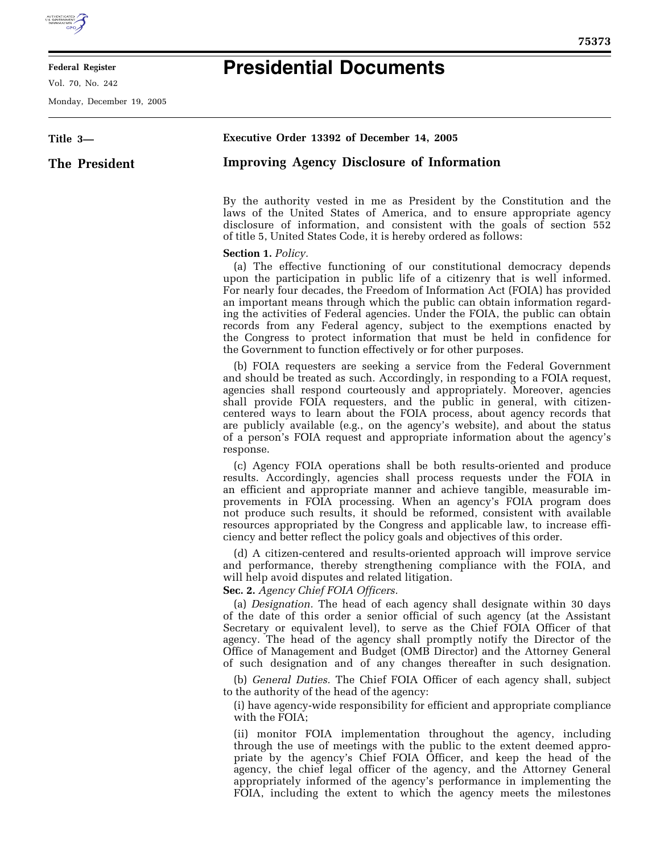

## **Federal Register**

Vol. 70, No. 242

**The President** 

**Title 3—** 

Monday, December 19, 2005

## **Presidential Documents**

**Executive Order 13392 of December 14, 2005 Improving Agency Disclosure of Information**  By the authority vested in me as President by the Constitution and the laws of the United States of America, and to ensure appropriate agency disclosure of information, and consistent with the goals of section 552 of title 5, United States Code, it is hereby ordered as follows: **Section 1.** *Policy.*  (a) The effective functioning of our constitutional democracy depends upon the participation in public life of a citizenry that is well informed. For nearly four decades, the Freedom of Information Act (FOIA) has provided an important means through which the public can obtain information regard-

ing the activities of Federal agencies. Under the FOIA, the public can obtain records from any Federal agency, subject to the exemptions enacted by the Congress to protect information that must be held in confidence for the Government to function effectively or for other purposes.

(b) FOIA requesters are seeking a service from the Federal Government and should be treated as such. Accordingly, in responding to a FOIA request, agencies shall respond courteously and appropriately. Moreover, agencies shall provide FOIA requesters, and the public in general, with citizencentered ways to learn about the FOIA process, about agency records that are publicly available (e.g., on the agency's website), and about the status of a person's FOIA request and appropriate information about the agency's response.

(c) Agency FOIA operations shall be both results-oriented and produce results. Accordingly, agencies shall process requests under the FOIA in an efficient and appropriate manner and achieve tangible, measurable improvements in FOIA processing. When an agency's FOIA program does not produce such results, it should be reformed, consistent with available resources appropriated by the Congress and applicable law, to increase efficiency and better reflect the policy goals and objectives of this order.

(d) A citizen-centered and results-oriented approach will improve service and performance, thereby strengthening compliance with the FOIA, and will help avoid disputes and related litigation.

**Sec. 2.** *Agency Chief FOIA Officers.* 

(a) *Designation.* The head of each agency shall designate within 30 days of the date of this order a senior official of such agency (at the Assistant Secretary or equivalent level), to serve as the Chief FOIA Officer of that agency. The head of the agency shall promptly notify the Director of the Office of Management and Budget (OMB Director) and the Attorney General of such designation and of any changes thereafter in such designation.

(b) *General Duties.* The Chief FOIA Officer of each agency shall, subject to the authority of the head of the agency:

(i) have agency-wide responsibility for efficient and appropriate compliance with the FOIA;

(ii) monitor FOIA implementation throughout the agency, including through the use of meetings with the public to the extent deemed appropriate by the agency's Chief FOIA Officer, and keep the head of the agency, the chief legal officer of the agency, and the Attorney General appropriately informed of the agency's performance in implementing the FOIA, including the extent to which the agency meets the milestones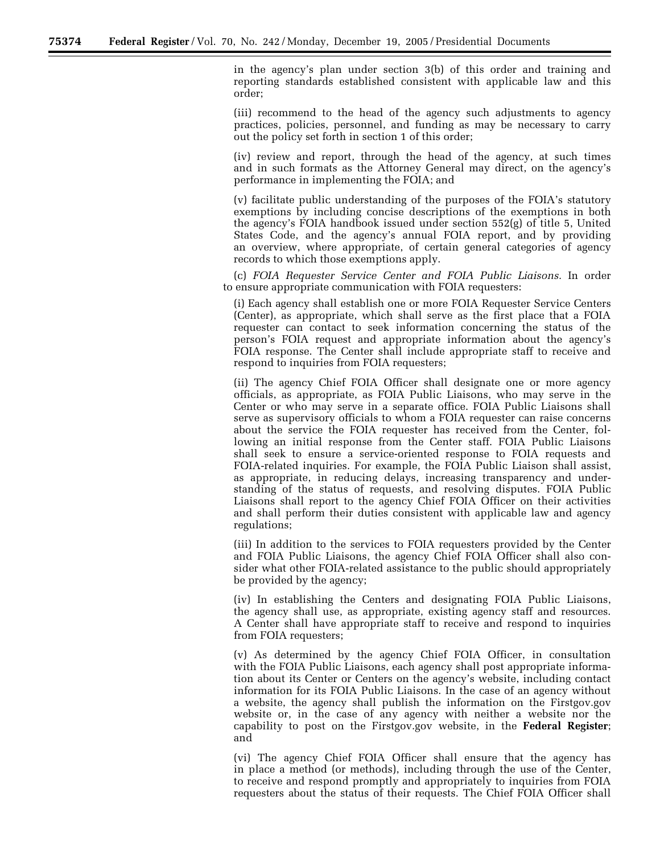in the agency's plan under section 3(b) of this order and training and reporting standards established consistent with applicable law and this order;

(iii) recommend to the head of the agency such adjustments to agency practices, policies, personnel, and funding as may be necessary to carry out the policy set forth in section 1 of this order;

(iv) review and report, through the head of the agency, at such times and in such formats as the Attorney General may direct, on the agency's performance in implementing the FOIA; and

(v) facilitate public understanding of the purposes of the FOIA's statutory exemptions by including concise descriptions of the exemptions in both the agency's FOIA handbook issued under section 552(g) of title 5, United States Code, and the agency's annual FOIA report, and by providing an overview, where appropriate, of certain general categories of agency records to which those exemptions apply.

(c) *FOIA Requester Service Center and FOIA Public Liaisons.* In order to ensure appropriate communication with FOIA requesters:

(i) Each agency shall establish one or more FOIA Requester Service Centers (Center), as appropriate, which shall serve as the first place that a FOIA requester can contact to seek information concerning the status of the person's FOIA request and appropriate information about the agency's FOIA response. The Center shall include appropriate staff to receive and respond to inquiries from FOIA requesters;

(ii) The agency Chief FOIA Officer shall designate one or more agency officials, as appropriate, as FOIA Public Liaisons, who may serve in the Center or who may serve in a separate office. FOIA Public Liaisons shall serve as supervisory officials to whom a FOIA requester can raise concerns about the service the FOIA requester has received from the Center, following an initial response from the Center staff. FOIA Public Liaisons shall seek to ensure a service-oriented response to FOIA requests and FOIA-related inquiries. For example, the FOIA Public Liaison shall assist, as appropriate, in reducing delays, increasing transparency and understanding of the status of requests, and resolving disputes. FOIA Public Liaisons shall report to the agency Chief FOIA Officer on their activities and shall perform their duties consistent with applicable law and agency regulations;

(iii) In addition to the services to FOIA requesters provided by the Center and FOIA Public Liaisons, the agency Chief FOIA Officer shall also consider what other FOIA-related assistance to the public should appropriately be provided by the agency;

(iv) In establishing the Centers and designating FOIA Public Liaisons, the agency shall use, as appropriate, existing agency staff and resources. A Center shall have appropriate staff to receive and respond to inquiries from FOIA requesters;

(v) As determined by the agency Chief FOIA Officer, in consultation with the FOIA Public Liaisons, each agency shall post appropriate information about its Center or Centers on the agency's website, including contact information for its FOIA Public Liaisons. In the case of an agency without a website, the agency shall publish the information on the Firstgov.gov website or, in the case of any agency with neither a website nor the capability to post on the Firstgov.gov website, in the **Federal Register**; and

(vi) The agency Chief FOIA Officer shall ensure that the agency has in place a method (or methods), including through the use of the Center, to receive and respond promptly and appropriately to inquiries from FOIA requesters about the status of their requests. The Chief FOIA Officer shall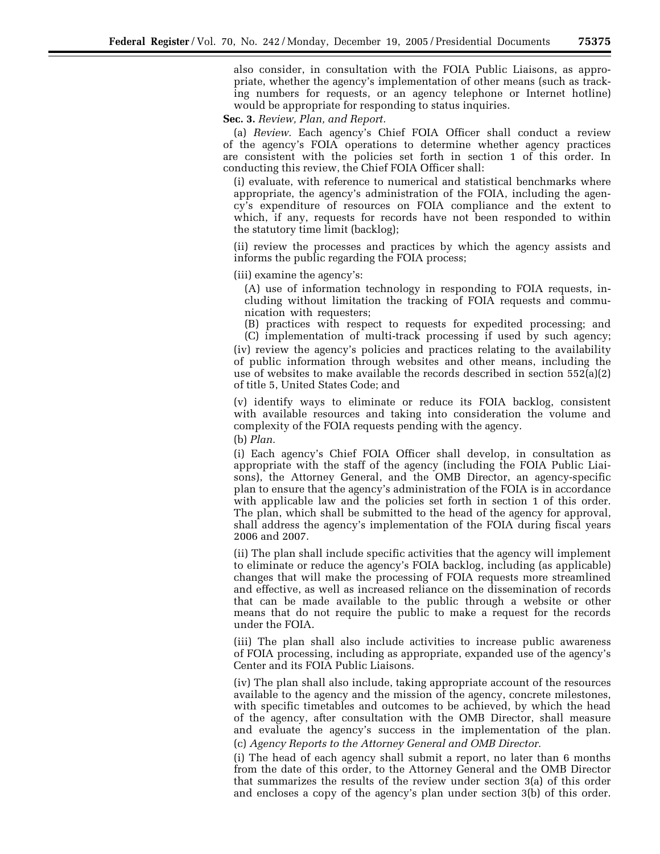also consider, in consultation with the FOIA Public Liaisons, as appropriate, whether the agency's implementation of other means (such as tracking numbers for requests, or an agency telephone or Internet hotline) would be appropriate for responding to status inquiries.

**Sec. 3.** *Review, Plan, and Report.* 

(a) *Review.* Each agency's Chief FOIA Officer shall conduct a review of the agency's FOIA operations to determine whether agency practices are consistent with the policies set forth in section 1 of this order. In conducting this review, the Chief FOIA Officer shall:

(i) evaluate, with reference to numerical and statistical benchmarks where appropriate, the agency's administration of the FOIA, including the agency's expenditure of resources on FOIA compliance and the extent to which, if any, requests for records have not been responded to within the statutory time limit (backlog);

(ii) review the processes and practices by which the agency assists and informs the public regarding the FOIA process;

(iii) examine the agency's:

(A) use of information technology in responding to FOIA requests, including without limitation the tracking of FOIA requests and communication with requesters;

(B) practices with respect to requests for expedited processing; and (C) implementation of multi-track processing if used by such agency;

(iv) review the agency's policies and practices relating to the availability of public information through websites and other means, including the use of websites to make available the records described in section 552(a)(2) of title 5, United States Code; and

(v) identify ways to eliminate or reduce its FOIA backlog, consistent with available resources and taking into consideration the volume and complexity of the FOIA requests pending with the agency.

(b) *Plan.* 

(i) Each agency's Chief FOIA Officer shall develop, in consultation as appropriate with the staff of the agency (including the FOIA Public Liaisons), the Attorney General, and the OMB Director, an agency-specific plan to ensure that the agency's administration of the FOIA is in accordance with applicable law and the policies set forth in section 1 of this order. The plan, which shall be submitted to the head of the agency for approval, shall address the agency's implementation of the FOIA during fiscal years 2006 and 2007.

(ii) The plan shall include specific activities that the agency will implement to eliminate or reduce the agency's FOIA backlog, including (as applicable) changes that will make the processing of FOIA requests more streamlined and effective, as well as increased reliance on the dissemination of records that can be made available to the public through a website or other means that do not require the public to make a request for the records under the FOIA.

(iii) The plan shall also include activities to increase public awareness of FOIA processing, including as appropriate, expanded use of the agency's Center and its FOIA Public Liaisons.

(iv) The plan shall also include, taking appropriate account of the resources available to the agency and the mission of the agency, concrete milestones, with specific timetables and outcomes to be achieved, by which the head of the agency, after consultation with the OMB Director, shall measure and evaluate the agency's success in the implementation of the plan. (c) *Agency Reports to the Attorney General and OMB Director.* 

(i) The head of each agency shall submit a report, no later than 6 months from the date of this order, to the Attorney General and the OMB Director that summarizes the results of the review under section 3(a) of this order and encloses a copy of the agency's plan under section 3(b) of this order.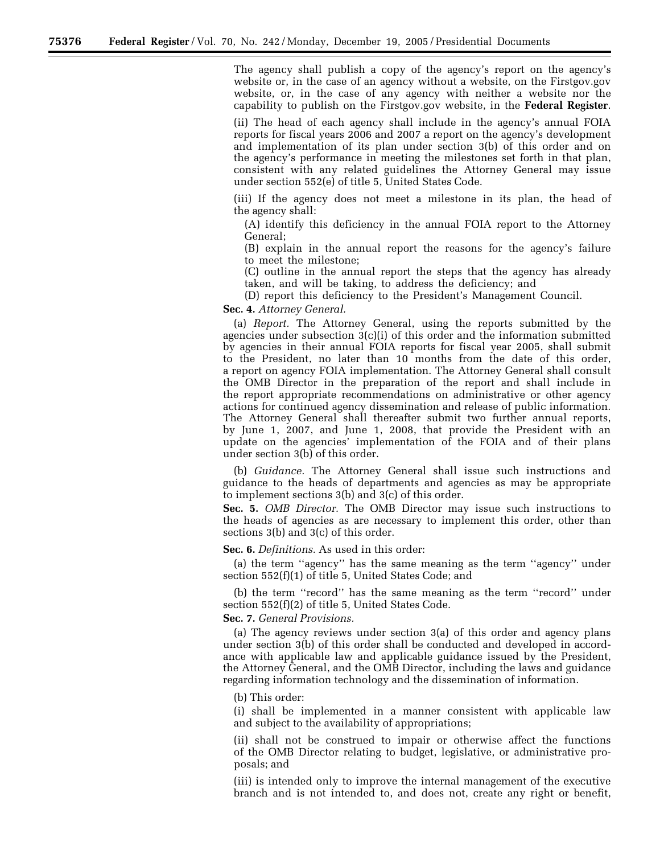The agency shall publish a copy of the agency's report on the agency's website or, in the case of an agency without a website, on the Firstgov.gov website, or, in the case of any agency with neither a website nor the capability to publish on the Firstgov.gov website, in the **Federal Register**.

(ii) The head of each agency shall include in the agency's annual FOIA reports for fiscal years 2006 and 2007 a report on the agency's development and implementation of its plan under section 3(b) of this order and on the agency's performance in meeting the milestones set forth in that plan, consistent with any related guidelines the Attorney General may issue under section 552(e) of title 5, United States Code.

(iii) If the agency does not meet a milestone in its plan, the head of the agency shall:

(A) identify this deficiency in the annual FOIA report to the Attorney General;

(B) explain in the annual report the reasons for the agency's failure to meet the milestone;

(C) outline in the annual report the steps that the agency has already taken, and will be taking, to address the deficiency; and

(D) report this deficiency to the President's Management Council.

**Sec. 4.** *Attorney General.* 

(a) *Report.* The Attorney General, using the reports submitted by the agencies under subsection 3(c)(i) of this order and the information submitted by agencies in their annual FOIA reports for fiscal year 2005, shall submit to the President, no later than 10 months from the date of this order, a report on agency FOIA implementation. The Attorney General shall consult the OMB Director in the preparation of the report and shall include in the report appropriate recommendations on administrative or other agency actions for continued agency dissemination and release of public information. The Attorney General shall thereafter submit two further annual reports, by June 1, 2007, and June 1, 2008, that provide the President with an update on the agencies' implementation of the FOIA and of their plans under section 3(b) of this order.

(b) *Guidance.* The Attorney General shall issue such instructions and guidance to the heads of departments and agencies as may be appropriate to implement sections 3(b) and 3(c) of this order.

**Sec. 5.** *OMB Director.* The OMB Director may issue such instructions to the heads of agencies as are necessary to implement this order, other than sections 3(b) and 3(c) of this order.

**Sec. 6.** *Definitions.* As used in this order:

(a) the term ''agency'' has the same meaning as the term ''agency'' under section 552(f)(1) of title 5, United States Code; and

(b) the term ''record'' has the same meaning as the term ''record'' under section 552(f)(2) of title 5, United States Code.

## **Sec. 7.** *General Provisions.*

(a) The agency reviews under section 3(a) of this order and agency plans under section 3(b) of this order shall be conducted and developed in accordance with applicable law and applicable guidance issued by the President, the Attorney General, and the OMB Director, including the laws and guidance regarding information technology and the dissemination of information.

(b) This order:

(i) shall be implemented in a manner consistent with applicable law and subject to the availability of appropriations;

(ii) shall not be construed to impair or otherwise affect the functions of the OMB Director relating to budget, legislative, or administrative proposals; and

(iii) is intended only to improve the internal management of the executive branch and is not intended to, and does not, create any right or benefit,